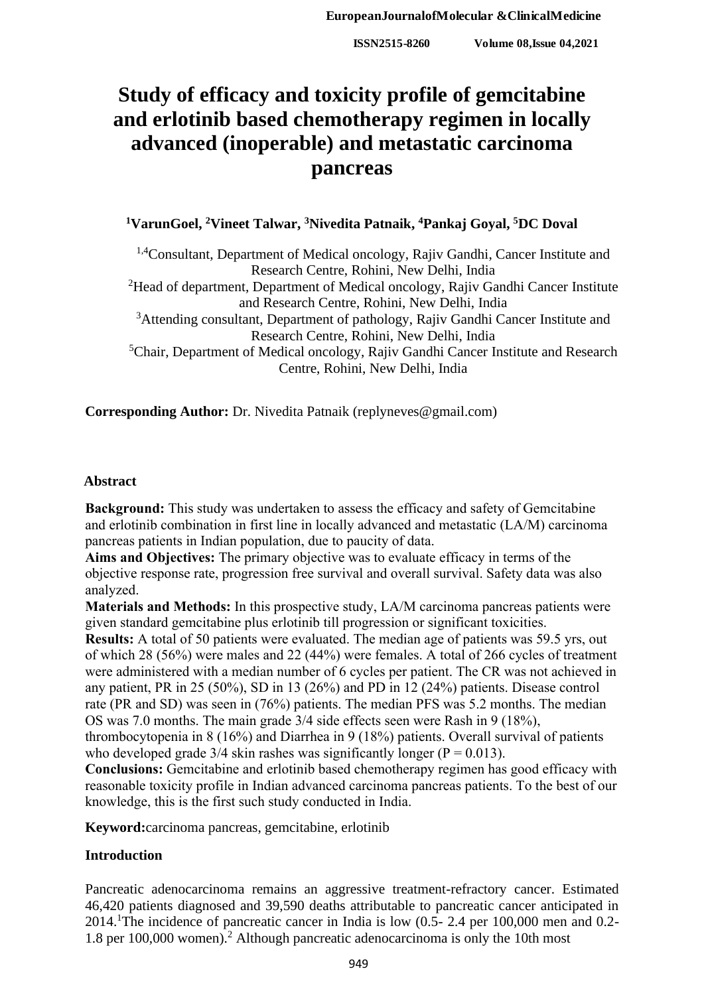# **Study of efficacy and toxicity profile of gemcitabine and erlotinib based chemotherapy regimen in locally advanced (inoperable) and metastatic carcinoma pancreas**

# **<sup>1</sup>VarunGoel, <sup>2</sup>Vineet Talwar, <sup>3</sup>Nivedita Patnaik, <sup>4</sup>Pankaj Goyal, <sup>5</sup>DC Doval**

<sup>1,4</sup>Consultant, Department of Medical oncology, Rajiv Gandhi, Cancer Institute and Research Centre, Rohini, New Delhi, India <sup>2</sup>Head of department, Department of Medical oncology, Rajiv Gandhi Cancer Institute and Research Centre, Rohini, New Delhi, India <sup>3</sup>Attending consultant, Department of pathology, Rajiv Gandhi Cancer Institute and Research Centre, Rohini, New Delhi, India <sup>5</sup>Chair, Department of Medical oncology, Rajiv Gandhi Cancer Institute and Research Centre, Rohini, New Delhi, India

**Corresponding Author:** Dr. Nivedita Patnaik (replyneves@gmail.com)

### **Abstract**

**Background:** This study was undertaken to assess the efficacy and safety of Gemcitabine and erlotinib combination in first line in locally advanced and metastatic (LA/M) carcinoma pancreas patients in Indian population, due to paucity of data.

**Aims and Objectives:** The primary objective was to evaluate efficacy in terms of the objective response rate, progression free survival and overall survival. Safety data was also analyzed.

**Materials and Methods:** In this prospective study, LA/M carcinoma pancreas patients were given standard gemcitabine plus erlotinib till progression or significant toxicities.

**Results:** A total of 50 patients were evaluated. The median age of patients was 59.5 yrs, out of which 28 (56%) were males and 22 (44%) were females. A total of 266 cycles of treatment were administered with a median number of 6 cycles per patient. The CR was not achieved in any patient, PR in 25 (50%), SD in 13 (26%) and PD in 12 (24%) patients. Disease control rate (PR and SD) was seen in (76%) patients. The median PFS was 5.2 months. The median OS was 7.0 months. The main grade 3/4 side effects seen were Rash in 9 (18%),

thrombocytopenia in 8 (16%) and Diarrhea in 9 (18%) patients. Overall survival of patients who developed grade  $3/4$  skin rashes was significantly longer ( $P = 0.013$ ).

**Conclusions:** Gemcitabine and erlotinib based chemotherapy regimen has good efficacy with reasonable toxicity profile in Indian advanced carcinoma pancreas patients. To the best of our knowledge, this is the first such study conducted in India.

**Keyword:**carcinoma pancreas, gemcitabine, erlotinib

# **Introduction**

Pancreatic adenocarcinoma remains an aggressive treatment-refractory cancer. Estimated 46,420 patients diagnosed and 39,590 deaths attributable to pancreatic cancer anticipated in 2014.<sup>1</sup>The incidence of pancreatic cancer in India is low (0.5- 2.4 per 100,000 men and 0.2- 1.8 per 100,000 women).<sup>2</sup> Although pancreatic adenocarcinoma is only the 10th most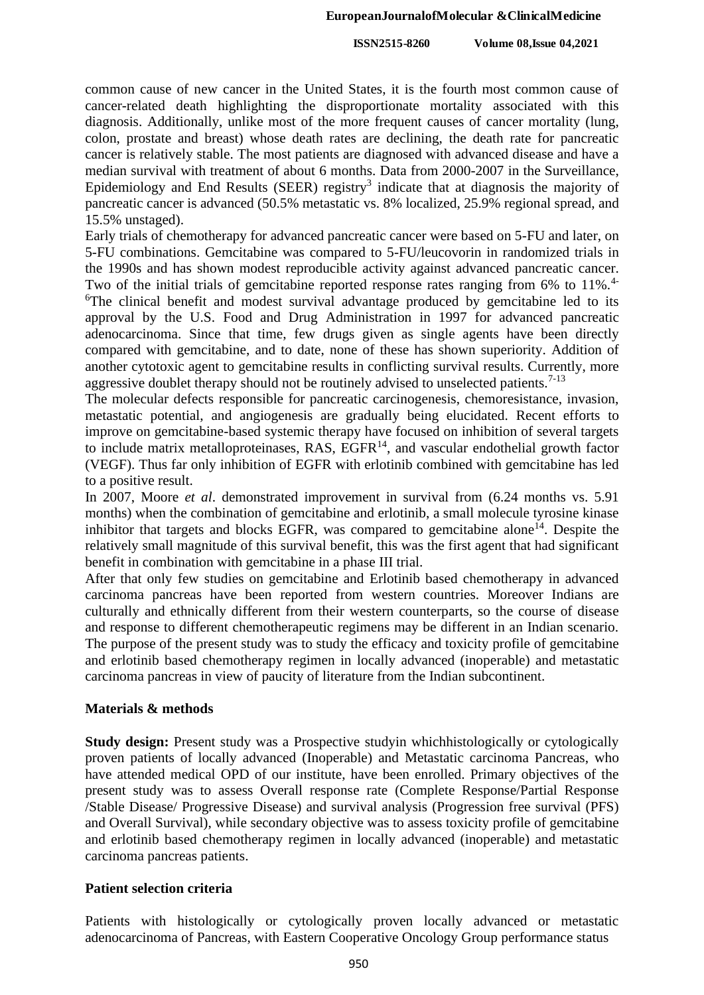#### **EuropeanJournalofMolecular &ClinicalMedicine**

**ISSN2515-8260 Volume 08,Issue 04,2021**

common cause of new cancer in the United States, it is the fourth most common cause of cancer-related death highlighting the disproportionate mortality associated with this diagnosis. Additionally, unlike most of the more frequent causes of cancer mortality (lung, colon, prostate and breast) whose death rates are declining, the death rate for pancreatic cancer is relatively stable. The most patients are diagnosed with advanced disease and have a median survival with treatment of about 6 months. Data from 2000-2007 in the Surveillance, Epidemiology and End Results (SEER) registry<sup>3</sup> indicate that at diagnosis the majority of pancreatic cancer is advanced (50.5% metastatic vs. 8% localized, 25.9% regional spread, and 15.5% unstaged).

Early trials of chemotherapy for advanced pancreatic cancer were based on 5-FU and later, on 5-FU combinations. Gemcitabine was compared to 5-FU/leucovorin in randomized trials in the 1990s and has shown modest reproducible activity against advanced pancreatic cancer. Two of the initial trials of gemcitabine reported response rates ranging from 6% to 11%.<sup>4-</sup> <sup>6</sup>The clinical benefit and modest survival advantage produced by gemcitabine led to its approval by the U.S. Food and Drug Administration in 1997 for advanced pancreatic adenocarcinoma. Since that time, few drugs given as single agents have been directly compared with gemcitabine, and to date, none of these has shown superiority. Addition of another cytotoxic agent to gemcitabine results in conflicting survival results. Currently, more aggressive doublet therapy should not be routinely advised to unselected patients.<sup>7-13</sup>

The molecular defects responsible for pancreatic carcinogenesis, chemoresistance, invasion, metastatic potential, and angiogenesis are gradually being elucidated. Recent efforts to improve on gemcitabine-based systemic therapy have focused on inhibition of several targets to include matrix metalloproteinases, RAS,  $\widehat{EGFR}^{14}$ , and vascular endothelial growth factor (VEGF). Thus far only inhibition of EGFR with erlotinib combined with gemcitabine has led to a positive result.

In 2007, Moore *et al*. demonstrated improvement in survival from (6.24 months vs. 5.91 months) when the combination of gemcitabine and erlotinib, a small molecule tyrosine kinase inhibitor that targets and blocks EGFR, was compared to gemcitabine alone<sup>14</sup>. Despite the relatively small magnitude of this survival benefit, this was the first agent that had significant benefit in combination with gemcitabine in a phase III trial.

After that only few studies on gemcitabine and Erlotinib based chemotherapy in advanced carcinoma pancreas have been reported from western countries. Moreover Indians are culturally and ethnically different from their western counterparts, so the course of disease and response to different chemotherapeutic regimens may be different in an Indian scenario. The purpose of the present study was to study the efficacy and toxicity profile of gemcitabine and erlotinib based chemotherapy regimen in locally advanced (inoperable) and metastatic carcinoma pancreas in view of paucity of literature from the Indian subcontinent.

# **Materials & methods**

**Study design:** Present study was a Prospective studyin which histologically or cytologically proven patients of locally advanced (Inoperable) and Metastatic carcinoma Pancreas, who have attended medical OPD of our institute, have been enrolled. Primary objectives of the present study was to assess Overall response rate (Complete Response/Partial Response /Stable Disease/ Progressive Disease) and survival analysis (Progression free survival (PFS) and Overall Survival), while secondary objective was to assess toxicity profile of gemcitabine and erlotinib based chemotherapy regimen in locally advanced (inoperable) and metastatic carcinoma pancreas patients.

# **Patient selection criteria**

Patients with histologically or cytologically proven locally advanced or metastatic adenocarcinoma of Pancreas, with Eastern Cooperative Oncology Group performance status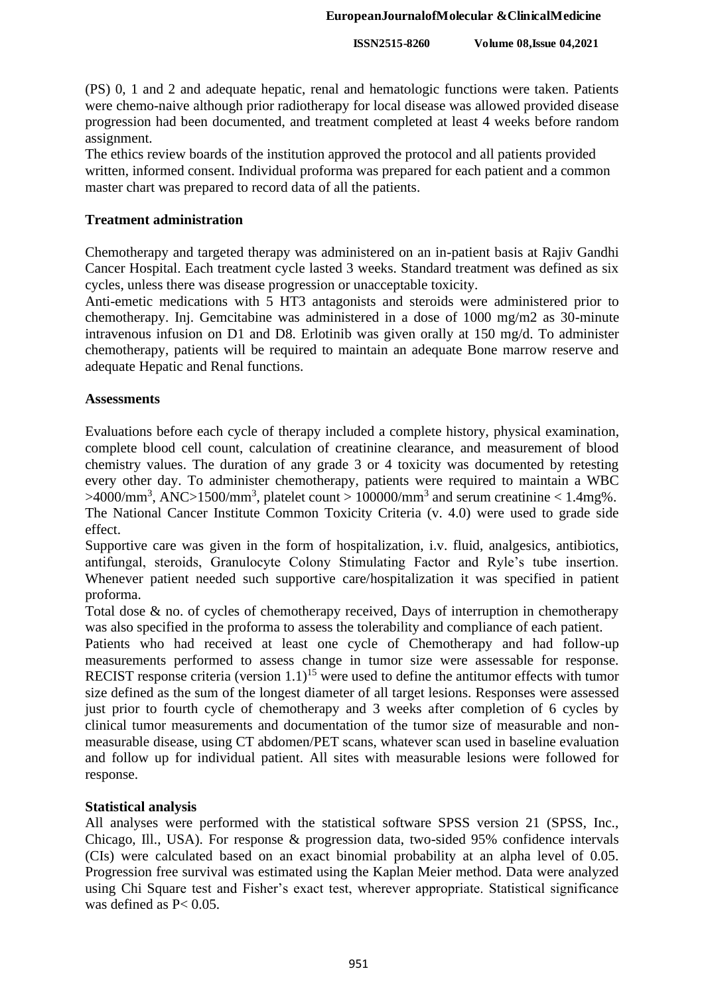(PS) 0, 1 and 2 and adequate hepatic, renal and hematologic functions were taken. Patients were chemo-naive although prior radiotherapy for local disease was allowed provided disease progression had been documented, and treatment completed at least 4 weeks before random assignment.

The ethics review boards of the institution approved the protocol and all patients provided written, informed consent. Individual proforma was prepared for each patient and a common master chart was prepared to record data of all the patients.

# **Treatment administration**

Chemotherapy and targeted therapy was administered on an in-patient basis at Rajiv Gandhi Cancer Hospital. Each treatment cycle lasted 3 weeks. Standard treatment was defined as six cycles, unless there was disease progression or unacceptable toxicity.

Anti-emetic medications with 5 HT3 antagonists and steroids were administered prior to chemotherapy. Inj. Gemcitabine was administered in a dose of 1000 mg/m2 as 30-minute intravenous infusion on D1 and D8. Erlotinib was given orally at 150 mg/d. To administer chemotherapy, patients will be required to maintain an adequate Bone marrow reserve and adequate Hepatic and Renal functions.

### **Assessments**

Evaluations before each cycle of therapy included a complete history, physical examination, complete blood cell count, calculation of creatinine clearance, and measurement of blood chemistry values. The duration of any grade 3 or 4 toxicity was documented by retesting every other day. To administer chemotherapy, patients were required to maintain a WBC  $>4000/\text{mm}^3$ , ANC $>1500/\text{mm}^3$ , platelet count  $>100000/\text{mm}^3$  and serum creatinine  $< 1.4 \text{mg}\%$ . The National Cancer Institute Common Toxicity Criteria (v. 4.0) were used to grade side effect.

Supportive care was given in the form of hospitalization, i.v. fluid, analgesics, antibiotics, antifungal, steroids, Granulocyte Colony Stimulating Factor and Ryle's tube insertion. Whenever patient needed such supportive care/hospitalization it was specified in patient proforma.

Total dose & no. of cycles of chemotherapy received, Days of interruption in chemotherapy was also specified in the proforma to assess the tolerability and compliance of each patient.

Patients who had received at least one cycle of Chemotherapy and had follow-up measurements performed to assess change in tumor size were assessable for response. RECIST response criteria (version  $1.1$ )<sup>15</sup> were used to define the antitumor effects with tumor size defined as the sum of the longest diameter of all target lesions. Responses were assessed just prior to fourth cycle of chemotherapy and 3 weeks after completion of 6 cycles by clinical tumor measurements and documentation of the tumor size of measurable and nonmeasurable disease, using CT abdomen/PET scans, whatever scan used in baseline evaluation and follow up for individual patient. All sites with measurable lesions were followed for response.

# **Statistical analysis**

All analyses were performed with the statistical software SPSS version 21 (SPSS, Inc., Chicago, Ill., USA). For response & progression data, two-sided 95% confidence intervals (CIs) were calculated based on an exact binomial probability at an alpha level of 0.05. Progression free survival was estimated using the Kaplan Meier method. Data were analyzed using Chi Square test and Fisher's exact test, wherever appropriate. Statistical significance was defined as  $P < 0.05$ .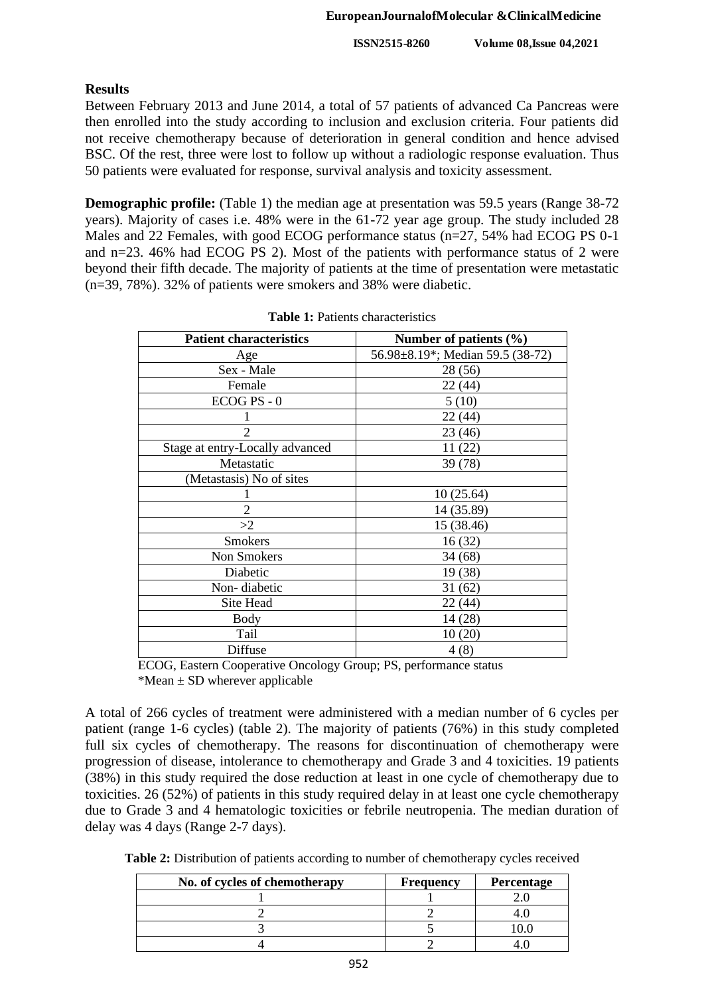# **Results**

Between February 2013 and June 2014, a total of 57 patients of advanced Ca Pancreas were then enrolled into the study according to inclusion and exclusion criteria. Four patients did not receive chemotherapy because of deterioration in general condition and hence advised BSC. Of the rest, three were lost to follow up without a radiologic response evaluation. Thus 50 patients were evaluated for response, survival analysis and toxicity assessment.

**Demographic profile:** (Table 1) the median age at presentation was 59.5 years (Range 38-72) years). Majority of cases i.e. 48% were in the 61-72 year age group. The study included 28 Males and 22 Females, with good ECOG performance status (n=27, 54% had ECOG PS 0-1 and n=23. 46% had ECOG PS 2). Most of the patients with performance status of 2 were beyond their fifth decade. The majority of patients at the time of presentation were metastatic (n=39, 78%). 32% of patients were smokers and 38% were diabetic.

| <b>Patient characteristics</b>  | Number of patients $(\% )$       |  |  |  |
|---------------------------------|----------------------------------|--|--|--|
| Age                             | 56.98±8.19*; Median 59.5 (38-72) |  |  |  |
| Sex - Male                      | 28 (56)                          |  |  |  |
| Female                          | 22 (44)                          |  |  |  |
| $ECOG PS - 0$                   | 5(10)                            |  |  |  |
|                                 | 22 (44)                          |  |  |  |
| $\overline{2}$                  | 23 (46)                          |  |  |  |
| Stage at entry-Locally advanced | 11 (22)                          |  |  |  |
| Metastatic                      | 39 (78)                          |  |  |  |
| (Metastasis) No of sites        |                                  |  |  |  |
|                                 | 10(25.64)                        |  |  |  |
| $\overline{2}$                  | 14 (35.89)                       |  |  |  |
| >2                              | 15 (38.46)                       |  |  |  |
| <b>Smokers</b>                  | 16(32)                           |  |  |  |
| Non Smokers                     | 34(68)                           |  |  |  |
| Diabetic                        | 19 (38)                          |  |  |  |
| Non-diabetic                    | 31(62)                           |  |  |  |
| Site Head                       | 22(44)                           |  |  |  |
| Body                            | 14 (28)                          |  |  |  |
| Tail                            | 10(20)                           |  |  |  |
| Diffuse                         | 4(8)                             |  |  |  |

**Table 1:** Patients characteristics

ECOG, Eastern Cooperative Oncology Group; PS, performance status \*Mean  $\pm$  SD wherever applicable

A total of 266 cycles of treatment were administered with a median number of 6 cycles per patient (range 1-6 cycles) (table 2). The majority of patients (76%) in this study completed full six cycles of chemotherapy. The reasons for discontinuation of chemotherapy were progression of disease, intolerance to chemotherapy and Grade 3 and 4 toxicities. 19 patients (38%) in this study required the dose reduction at least in one cycle of chemotherapy due to toxicities. 26 (52%) of patients in this study required delay in at least one cycle chemotherapy due to Grade 3 and 4 hematologic toxicities or febrile neutropenia. The median duration of delay was 4 days (Range 2-7 days).

| No. of cycles of chemotherapy | <b>Frequency</b> | Percentage |  |
|-------------------------------|------------------|------------|--|
|                               |                  |            |  |
|                               |                  |            |  |
|                               |                  |            |  |
|                               |                  |            |  |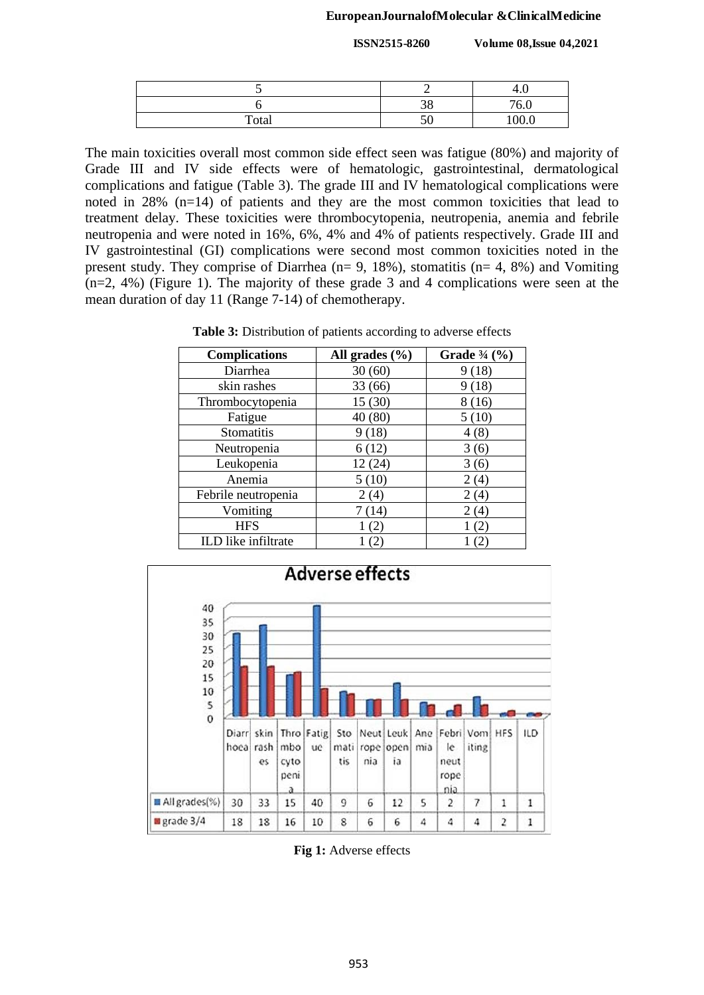#### **EuropeanJournalofMolecular &ClinicalMedicine**

**ISSN2515-8260 Volume 08,Issue 04,2021**

|       |    | 4.1      |
|-------|----|----------|
|       | 38 | 760      |
| Total | 50 | 000<br>ິ |

The main toxicities overall most common side effect seen was fatigue (80%) and majority of Grade III and IV side effects were of hematologic, gastrointestinal, dermatological complications and fatigue (Table 3). The grade III and IV hematological complications were noted in 28% (n=14) of patients and they are the most common toxicities that lead to treatment delay. These toxicities were thrombocytopenia, neutropenia, anemia and febrile neutropenia and were noted in 16%, 6%, 4% and 4% of patients respectively. Grade III and IV gastrointestinal (GI) complications were second most common toxicities noted in the present study. They comprise of Diarrhea ( $n= 9$ , 18%), stomatitis ( $n= 4$ , 8%) and Vomiting (n=2, 4%) (Figure 1). The majority of these grade 3 and 4 complications were seen at the mean duration of day 11 (Range 7-14) of chemotherapy.

**Table 3:** Distribution of patients according to adverse effects

| <b>Complications</b> | All grades $(\% )$ | <b>Grade</b> $\frac{3}{4}$ (%) |  |  |
|----------------------|--------------------|--------------------------------|--|--|
| Diarrhea             | 30(60)             | 9(18)                          |  |  |
| skin rashes          | 33 (66)            | 9(18)                          |  |  |
| Thrombocytopenia     | 15(30)             | 8(16)                          |  |  |
| Fatigue              | 40 (80)            | 5(10)                          |  |  |
| Stomatitis           | 9(18)              | 4(8)                           |  |  |
| Neutropenia          | 6(12)              | 3(6)                           |  |  |
| Leukopenia           | 12(24)             | 3(6)                           |  |  |
| Anemia               | 5(10)              | 2(4)                           |  |  |
| Febrile neutropenia  | 2(4)               | 2(4)                           |  |  |
| Vomiting             | 7(14)              | 2(4)                           |  |  |
| <b>HFS</b>           | 2                  |                                |  |  |
| ILD like infiltrate  | 2                  |                                |  |  |



**Fig 1:** Adverse effects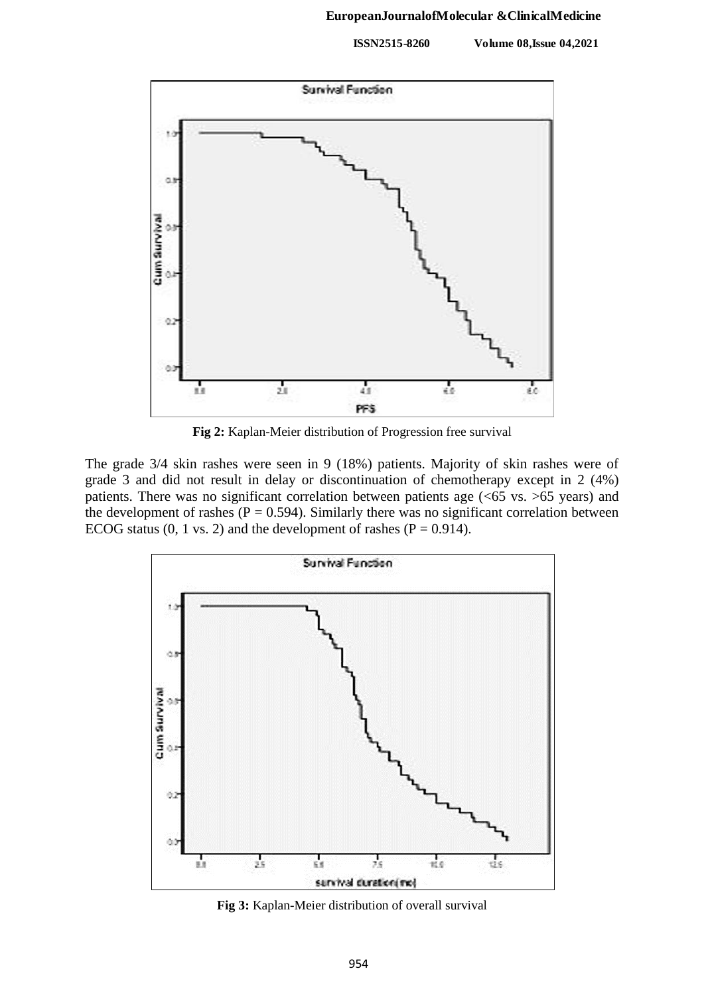

**Fig 2:** Kaplan-Meier distribution of Progression free survival

The grade 3/4 skin rashes were seen in 9 (18%) patients. Majority of skin rashes were of grade 3 and did not result in delay or discontinuation of chemotherapy except in 2 (4%) patients. There was no significant correlation between patients age (<65 vs. >65 years) and the development of rashes ( $P = 0.594$ ). Similarly there was no significant correlation between ECOG status  $(0, 1 \text{ vs. 2})$  and the development of rashes  $(P = 0.914)$ .



**Fig 3:** Kaplan-Meier distribution of overall survival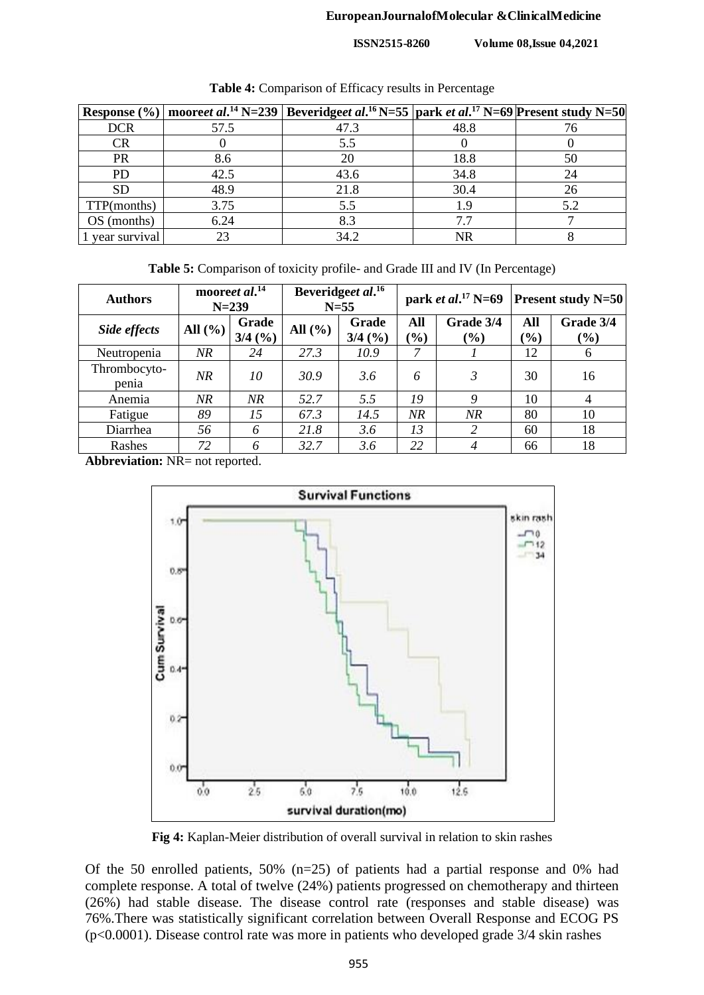#### **EuropeanJournalofMolecular &ClinicalMedicine**

**ISSN2515-8260 Volume 08,Issue 04,2021**

|                 |      | Response (%)   mooreet al. <sup>14</sup> N=239   Beveridgeet al. <sup>16</sup> N=55   park et al. <sup>17</sup> N=69   Present study N=50 |      |     |
|-----------------|------|-------------------------------------------------------------------------------------------------------------------------------------------|------|-----|
| <b>DCR</b>      | 57.5 | 47.3                                                                                                                                      | 48.8 |     |
| <b>CR</b>       |      | 5.5                                                                                                                                       |      |     |
| <b>PR</b>       | 8.6  | 20                                                                                                                                        | 18.8 | 50  |
| <b>PD</b>       | 42.5 | 43.6                                                                                                                                      | 34.8 | 24  |
| <b>SD</b>       | 48.9 | 21.8                                                                                                                                      | 30.4 | 26  |
| TTP(months)     | 3.75 | 5.5                                                                                                                                       | 1.9  | 5.2 |
| OS (months)     | 6.24 | 8.3                                                                                                                                       |      |     |
| 1 year survival |      | 34.2                                                                                                                                      | NR   |     |

**Table 4:** Comparison of Efficacy results in Percentage

**Table 5:** Comparison of toxicity profile- and Grade III and IV (In Percentage)

| <b>Authors</b>        |                                | mooreet al. <sup>14</sup><br>$N = 239$ |             | Beveridgeet al. <sup>16</sup><br>$N=55$ | park <i>et al.</i> <sup>17</sup> N=69 |                  | <b>Present study N=50</b> |                     |
|-----------------------|--------------------------------|----------------------------------------|-------------|-----------------------------------------|---------------------------------------|------------------|---------------------------|---------------------|
| Side effects          | All $\left(\frac{9}{6}\right)$ | Grade<br>3/4(%)                        | All $(\% )$ | Grade<br>$3/4$ (%)                      | All<br>$(\%)$                         | Grade 3/4<br>(%) | All<br>$(\%)$             | Grade 3/4<br>$(\%)$ |
| Neutropenia           | NR                             | 24                                     | 27.3        | 10.9                                    | 7                                     |                  | 12                        | 6                   |
| Thrombocyto-<br>penia | NR.                            | 10                                     | 30.9        | 3.6                                     | 6                                     | 3                | 30                        | 16                  |
| Anemia                | NR                             | NR                                     | 52.7        | 5.5                                     | 19                                    | 9                | 10                        | 4                   |
| Fatigue               | 89                             | 15                                     | 67.3        | 14.5                                    | NR                                    | NR               | 80                        | 10                  |
| Diarrhea              | 56                             | 6                                      | 21.8        | 3.6                                     | 13                                    | 2                | 60                        | 18                  |
| Rashes                | 72                             | 6                                      | 32.7        | 3.6                                     | 22                                    | $\overline{4}$   | 66                        | 18                  |

**Abbreviation:** NR= not reported.



**Fig 4:** Kaplan-Meier distribution of overall survival in relation to skin rashes

Of the 50 enrolled patients, 50% (n=25) of patients had a partial response and 0% had complete response. A total of twelve (24%) patients progressed on chemotherapy and thirteen (26%) had stable disease. The disease control rate (responses and stable disease) was 76%.There was statistically significant correlation between Overall Response and ECOG PS (p<0.0001). Disease control rate was more in patients who developed grade 3/4 skin rashes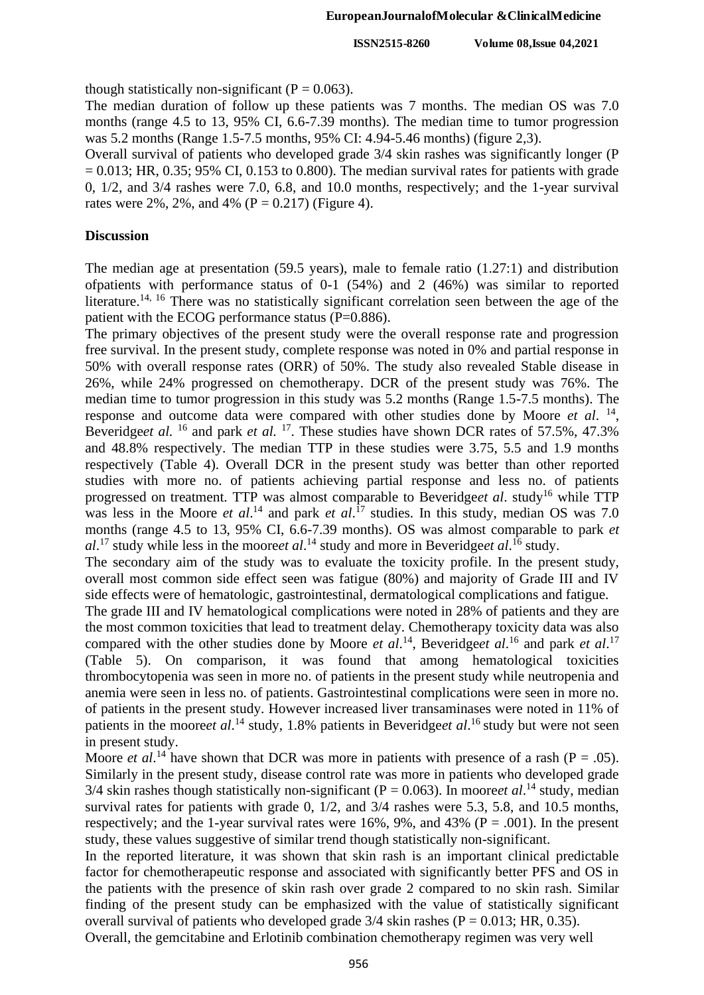though statistically non-significant ( $P = 0.063$ ).

The median duration of follow up these patients was 7 months. The median OS was 7.0 months (range 4.5 to 13, 95% CI, 6.6-7.39 months). The median time to tumor progression was 5.2 months (Range 1.5-7.5 months, 95% CI: 4.94-5.46 months) (figure 2,3).

Overall survival of patients who developed grade 3/4 skin rashes was significantly longer (P  $= 0.013$ ; HR, 0.35; 95% CI, 0.153 to 0.800). The median survival rates for patients with grade 0, 1/2, and 3/4 rashes were 7.0, 6.8, and 10.0 months, respectively; and the 1-year survival rates were 2%, 2%, and 4% ( $P = 0.217$ ) (Figure 4).

#### **Discussion**

The median age at presentation (59.5 years), male to female ratio (1.27:1) and distribution ofpatients with performance status of 0-1 (54%) and 2 (46%) was similar to reported literature.<sup>14, 16</sup> There was no statistically significant correlation seen between the age of the patient with the ECOG performance status (P=0.886).

The primary objectives of the present study were the overall response rate and progression free survival. In the present study, complete response was noted in 0% and partial response in 50% with overall response rates (ORR) of 50%. The study also revealed Stable disease in 26%, while 24% progressed on chemotherapy. DCR of the present study was 76%. The median time to tumor progression in this study was 5.2 months (Range 1.5-7.5 months). The response and outcome data were compared with other studies done by Moore *et al.* <sup>14</sup>, Beveridge*et al.* <sup>16</sup> and park *et al.* <sup>17</sup>. These studies have shown DCR rates of 57.5%, 47.3% and 48.8% respectively. The median TTP in these studies were 3.75, 5.5 and 1.9 months respectively (Table 4). Overall DCR in the present study was better than other reported studies with more no. of patients achieving partial response and less no. of patients progressed on treatment. TTP was almost comparable to Beveridgeet al. study<sup>16</sup> while TTP was less in the Moore *et al.*<sup>14</sup> and park *et al.*<sup>17</sup> studies. In this study, median OS was 7.0 months (range 4.5 to 13, 95% CI, 6.6-7.39 months). OS was almost comparable to park *et al*. <sup>17</sup> study while less in the moore*et al*. <sup>14</sup> study and more in Beveridge*et al*. <sup>16</sup> study.

The secondary aim of the study was to evaluate the toxicity profile. In the present study, overall most common side effect seen was fatigue (80%) and majority of Grade III and IV side effects were of hematologic, gastrointestinal, dermatological complications and fatigue.

The grade III and IV hematological complications were noted in 28% of patients and they are the most common toxicities that lead to treatment delay. Chemotherapy toxicity data was also compared with the other studies done by Moore *et al*.<sup>14</sup>, Beveridge*et al*.<sup>16</sup> and park *et al.*<sup>17</sup> (Table 5). On comparison, it was found that among hematological toxicities thrombocytopenia was seen in more no. of patients in the present study while neutropenia and anemia were seen in less no. of patients. Gastrointestinal complications were seen in more no. of patients in the present study. However increased liver transaminases were noted in 11% of patients in the mooreet al.<sup>14</sup> study, 1.8% patients in Beveridgeet al.<sup>16</sup> study but were not seen in present study.

Moore *et al*.<sup>14</sup> have shown that DCR was more in patients with presence of a rash ( $P = .05$ ). Similarly in the present study, disease control rate was more in patients who developed grade  $3/4$  skin rashes though statistically non-significant (P = 0.063). In moore*et al*.<sup>14</sup> study, median survival rates for patients with grade 0,  $1/2$ , and  $3/4$  rashes were 5.3, 5.8, and 10.5 months, respectively; and the 1-year survival rates were 16%, 9%, and 43% ( $P = .001$ ). In the present study, these values suggestive of similar trend though statistically non-significant.

In the reported literature, it was shown that skin rash is an important clinical predictable factor for chemotherapeutic response and associated with significantly better PFS and OS in the patients with the presence of skin rash over grade 2 compared to no skin rash. Similar finding of the present study can be emphasized with the value of statistically significant overall survival of patients who developed grade  $3/4$  skin rashes (P = 0.013; HR, 0.35).

Overall, the gemcitabine and Erlotinib combination chemotherapy regimen was very well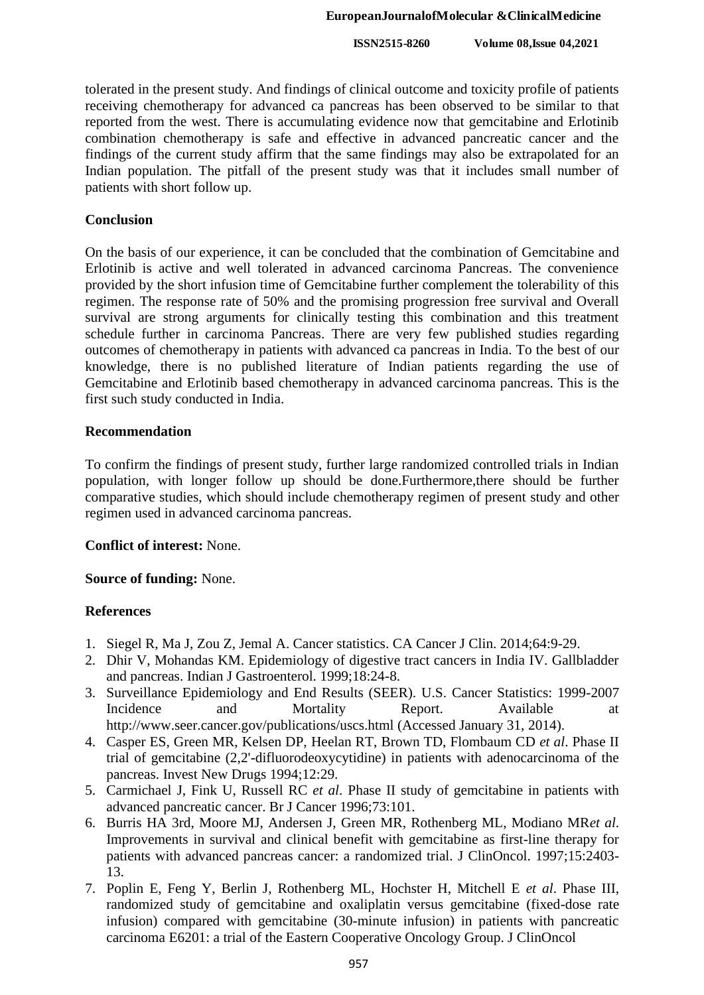tolerated in the present study. And findings of clinical outcome and toxicity profile of patients receiving chemotherapy for advanced ca pancreas has been observed to be similar to that reported from the west. There is accumulating evidence now that gemcitabine and Erlotinib combination chemotherapy is safe and effective in advanced pancreatic cancer and the findings of the current study affirm that the same findings may also be extrapolated for an Indian population. The pitfall of the present study was that it includes small number of patients with short follow up.

# **Conclusion**

On the basis of our experience, it can be concluded that the combination of Gemcitabine and Erlotinib is active and well tolerated in advanced carcinoma Pancreas. The convenience provided by the short infusion time of Gemcitabine further complement the tolerability of this regimen. The response rate of 50% and the promising progression free survival and Overall survival are strong arguments for clinically testing this combination and this treatment schedule further in carcinoma Pancreas. There are very few published studies regarding outcomes of chemotherapy in patients with advanced ca pancreas in India. To the best of our knowledge, there is no published literature of Indian patients regarding the use of Gemcitabine and Erlotinib based chemotherapy in advanced carcinoma pancreas. This is the first such study conducted in India.

# **Recommendation**

To confirm the findings of present study, further large randomized controlled trials in Indian population, with longer follow up should be done.Furthermore,there should be further comparative studies, which should include chemotherapy regimen of present study and other regimen used in advanced carcinoma pancreas.

# **Conflict of interest:** None.

# **Source of funding:** None.

# **References**

- 1. Siegel R, Ma J, Zou Z, Jemal A. Cancer statistics. CA Cancer J Clin. 2014;64:9-29.
- 2. Dhir V, Mohandas KM. Epidemiology of digestive tract cancers in India IV. Gallbladder and pancreas. Indian J Gastroenterol. 1999;18:24-8.
- 3. Surveillance Epidemiology and End Results (SEER). U.S. Cancer Statistics: 1999-2007 Incidence and Mortality Report. Available at http://www.seer.cancer.gov/publications/uscs.html (Accessed January 31, 2014).
- 4. Casper ES, Green MR, Kelsen DP, Heelan RT, Brown TD, Flombaum CD *et al*. Phase II trial of gemcitabine (2,2'-difluorodeoxycytidine) in patients with adenocarcinoma of the pancreas. Invest New Drugs 1994;12:29.
- 5. Carmichael J, Fink U, Russell RC *et al*. Phase II study of gemcitabine in patients with advanced pancreatic cancer. Br J Cancer 1996;73:101.
- 6. Burris HA 3rd, Moore MJ, Andersen J, Green MR, Rothenberg ML, Modiano MR*et al*. Improvements in survival and clinical benefit with gemcitabine as first-line therapy for patients with advanced pancreas cancer: a randomized trial. J ClinOncol. 1997;15:2403- 13.
- 7. Poplin E, Feng Y, Berlin J, Rothenberg ML, Hochster H, Mitchell E *et al*. Phase III, randomized study of gemcitabine and oxaliplatin versus gemcitabine (fixed-dose rate infusion) compared with gemcitabine (30-minute infusion) in patients with pancreatic carcinoma E6201: a trial of the Eastern Cooperative Oncology Group. J ClinOncol